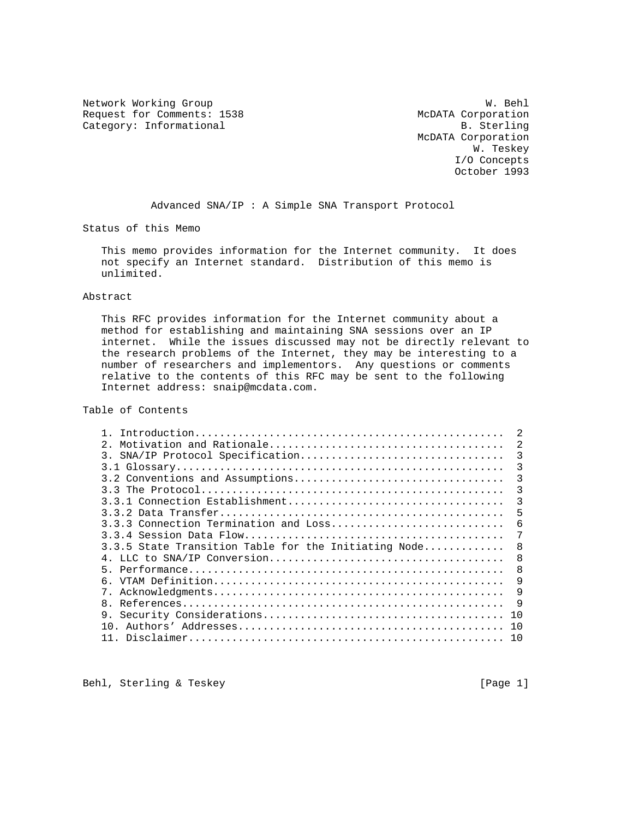Network Working Group Website Communications and Month W. Behl Request for Comments: 1538 McDATA Corporation<br>
Category: Informational B. Sterling Category: Informational

 McDATA Corporation W. Teskey I/O Concepts October 1993

Advanced SNA/IP : A Simple SNA Transport Protocol

Status of this Memo

 This memo provides information for the Internet community. It does not specify an Internet standard. Distribution of this memo is unlimited.

### Abstract

 This RFC provides information for the Internet community about a method for establishing and maintaining SNA sessions over an IP internet. While the issues discussed may not be directly relevant to the research problems of the Internet, they may be interesting to a number of researchers and implementors. Any questions or comments relative to the contents of this RFC may be sent to the following Internet address: snaip@mcdata.com.

Table of Contents

| $2^{\circ}$                                          | $\mathfrak{D}$ |
|------------------------------------------------------|----------------|
| SNA/IP Protocol Specification<br>3.                  | 3              |
|                                                      | 3              |
|                                                      | 3              |
|                                                      | 3              |
|                                                      | 3              |
|                                                      | 5              |
| 3.3.3 Connection Termination and Loss                | 6              |
|                                                      | 7              |
| 3.3.5 State Transition Table for the Initiating Node | 8              |
|                                                      | 8              |
|                                                      | 8              |
|                                                      | 9              |
|                                                      | 9              |
| 8.                                                   | 9              |
| 9.                                                   | 1 O            |
| $10^{-7}$                                            | 10             |
|                                                      | 1 N            |
|                                                      |                |

Behl, Sterling & Teskey [Page 1]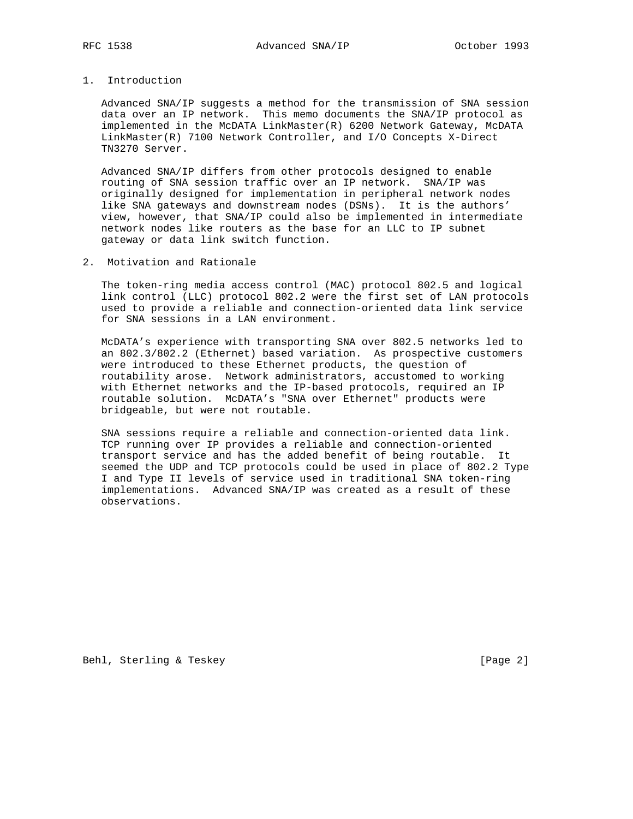1. Introduction

 Advanced SNA/IP suggests a method for the transmission of SNA session data over an IP network. This memo documents the SNA/IP protocol as implemented in the McDATA LinkMaster(R) 6200 Network Gateway, McDATA LinkMaster(R) 7100 Network Controller, and I/O Concepts X-Direct TN3270 Server.

 Advanced SNA/IP differs from other protocols designed to enable routing of SNA session traffic over an IP network. SNA/IP was originally designed for implementation in peripheral network nodes like SNA gateways and downstream nodes (DSNs). It is the authors' view, however, that SNA/IP could also be implemented in intermediate network nodes like routers as the base for an LLC to IP subnet gateway or data link switch function.

2. Motivation and Rationale

 The token-ring media access control (MAC) protocol 802.5 and logical link control (LLC) protocol 802.2 were the first set of LAN protocols used to provide a reliable and connection-oriented data link service for SNA sessions in a LAN environment.

 McDATA's experience with transporting SNA over 802.5 networks led to an 802.3/802.2 (Ethernet) based variation. As prospective customers were introduced to these Ethernet products, the question of routability arose. Network administrators, accustomed to working with Ethernet networks and the IP-based protocols, required an IP routable solution. McDATA's "SNA over Ethernet" products were bridgeable, but were not routable.

 SNA sessions require a reliable and connection-oriented data link. TCP running over IP provides a reliable and connection-oriented transport service and has the added benefit of being routable. It seemed the UDP and TCP protocols could be used in place of 802.2 Type I and Type II levels of service used in traditional SNA token-ring implementations. Advanced SNA/IP was created as a result of these observations.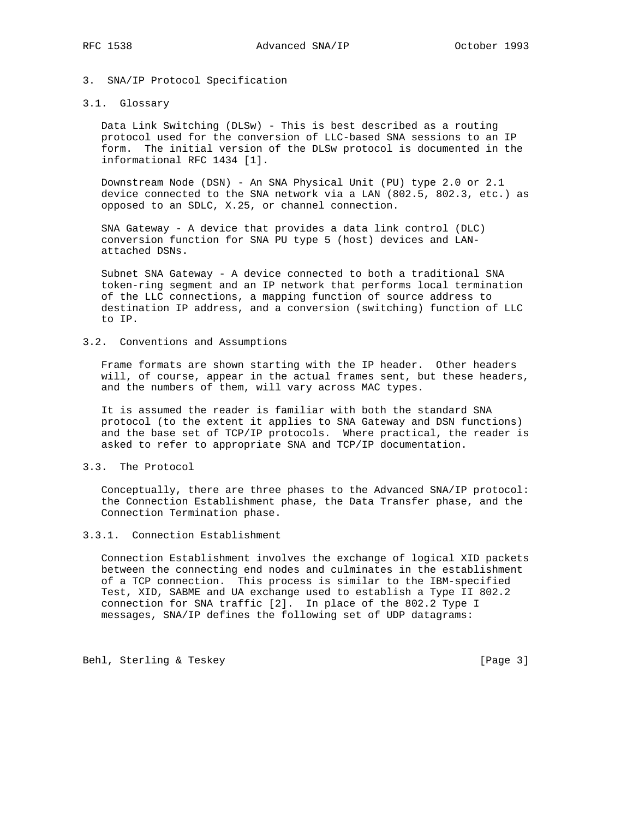### 3. SNA/IP Protocol Specification

### 3.1. Glossary

 Data Link Switching (DLSw) - This is best described as a routing protocol used for the conversion of LLC-based SNA sessions to an IP form. The initial version of the DLSw protocol is documented in the informational RFC 1434 [1].

 Downstream Node (DSN) - An SNA Physical Unit (PU) type 2.0 or 2.1 device connected to the SNA network via a LAN (802.5, 802.3, etc.) as opposed to an SDLC, X.25, or channel connection.

 SNA Gateway - A device that provides a data link control (DLC) conversion function for SNA PU type 5 (host) devices and LAN attached DSNs.

 Subnet SNA Gateway - A device connected to both a traditional SNA token-ring segment and an IP network that performs local termination of the LLC connections, a mapping function of source address to destination IP address, and a conversion (switching) function of LLC to IP.

### 3.2. Conventions and Assumptions

 Frame formats are shown starting with the IP header. Other headers will, of course, appear in the actual frames sent, but these headers, and the numbers of them, will vary across MAC types.

 It is assumed the reader is familiar with both the standard SNA protocol (to the extent it applies to SNA Gateway and DSN functions) and the base set of TCP/IP protocols. Where practical, the reader is asked to refer to appropriate SNA and TCP/IP documentation.

## 3.3. The Protocol

 Conceptually, there are three phases to the Advanced SNA/IP protocol: the Connection Establishment phase, the Data Transfer phase, and the Connection Termination phase.

#### 3.3.1. Connection Establishment

 Connection Establishment involves the exchange of logical XID packets between the connecting end nodes and culminates in the establishment of a TCP connection. This process is similar to the IBM-specified Test, XID, SABME and UA exchange used to establish a Type II 802.2 connection for SNA traffic [2]. In place of the 802.2 Type I messages, SNA/IP defines the following set of UDP datagrams:

Behl, Sterling & Teskey [Page 3]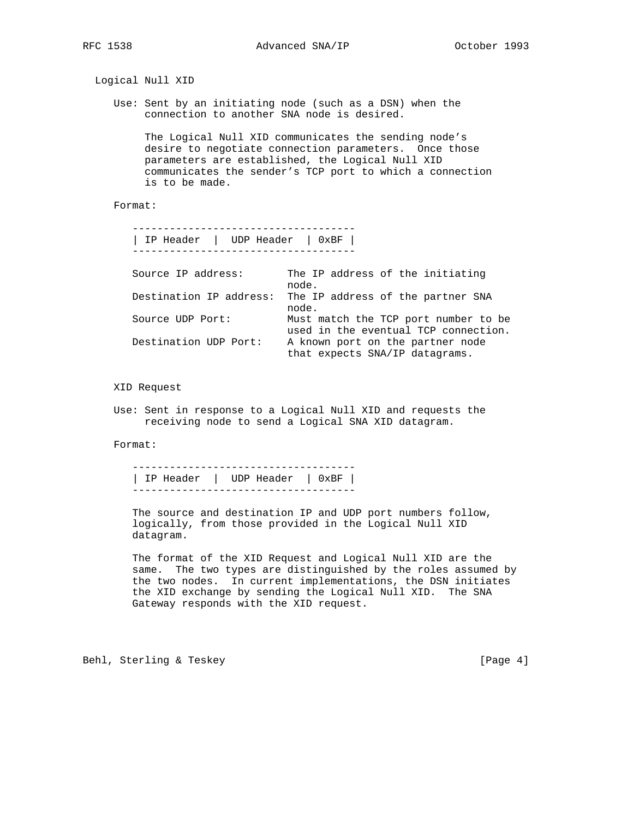|                                                                                                        | Logical Null XID              |                                                                                                                                                                                                                               |  |  |  |  |
|--------------------------------------------------------------------------------------------------------|-------------------------------|-------------------------------------------------------------------------------------------------------------------------------------------------------------------------------------------------------------------------------|--|--|--|--|
| Use: Sent by an initiating node (such as a DSN) when the<br>connection to another SNA node is desired. |                               |                                                                                                                                                                                                                               |  |  |  |  |
|                                                                                                        | is to be made.                | The Logical Null XID communicates the sending node's<br>desire to negotiate connection parameters. Once those<br>parameters are established, the Logical Null XID<br>communicates the sender's TCP port to which a connection |  |  |  |  |
| Format:                                                                                                |                               |                                                                                                                                                                                                                               |  |  |  |  |
|                                                                                                        | IP Header   UDP Header   0xBF |                                                                                                                                                                                                                               |  |  |  |  |
|                                                                                                        | Source IP address:            | The IP address of the initiating<br>node.                                                                                                                                                                                     |  |  |  |  |
|                                                                                                        | Destination IP address:       | The IP address of the partner SNA<br>node.                                                                                                                                                                                    |  |  |  |  |
|                                                                                                        | Source UDP Port:              | Must match the TCP port number to be<br>used in the eventual TCP connection.                                                                                                                                                  |  |  |  |  |
|                                                                                                        | Destination UDP Port:         | A known port on the partner node<br>that expects SNA/IP datagrams.                                                                                                                                                            |  |  |  |  |
|                                                                                                        | XID Request                   |                                                                                                                                                                                                                               |  |  |  |  |
|                                                                                                        |                               | Use: Sent in response to a Logical Null XID and requests the<br>receiving node to send a Logical SNA XID datagram.                                                                                                            |  |  |  |  |

Format:

 ------------------------------------ | IP Header | UDP Header | 0xBF | ------------------------------------

 The source and destination IP and UDP port numbers follow, logically, from those provided in the Logical Null XID datagram.

 The format of the XID Request and Logical Null XID are the same. The two types are distinguished by the roles assumed by the two nodes. In current implementations, the DSN initiates the XID exchange by sending the Logical Null XID. The SNA Gateway responds with the XID request.

Behl, Sterling & Teskey [Page 4]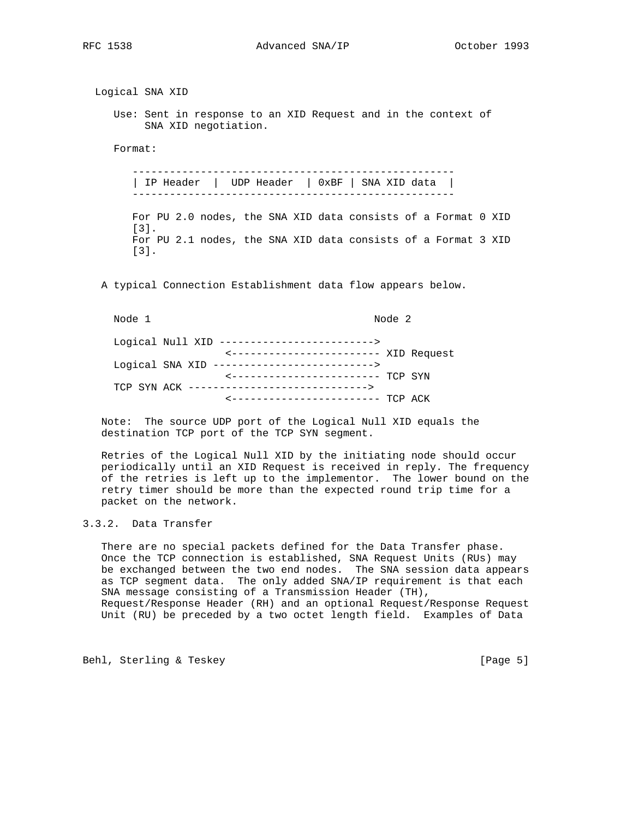### RFC 1538 Advanced SNA/IP October 1993

 Logical SNA XID Use: Sent in response to an XID Request and in the context of SNA XID negotiation. Format: ---------------------------------------------------- | IP Header | UDP Header | 0xBF | SNA XID data | ---------------------------------------------------- For PU 2.0 nodes, the SNA XID data consists of a Format 0 XID [3]. For PU 2.1 nodes, the SNA XID data consists of a Format 3 XID [3]. A typical Connection Establishment data flow appears below. Node 1 Node 2 Logical Null XID -------------------------> <------------------------ XID Request Logical SNA XID --------------------------> <------------------------ TCP SYN TCP SYN ACK -----------------------------> <------------------------ TCP ACK Note: The source UDP port of the Logical Null XID equals the destination TCP port of the TCP SYN segment. Retries of the Logical Null XID by the initiating node should occur periodically until an XID Request is received in reply. The frequency

 of the retries is left up to the implementor. The lower bound on the retry timer should be more than the expected round trip time for a packet on the network.

# 3.3.2. Data Transfer

 There are no special packets defined for the Data Transfer phase. Once the TCP connection is established, SNA Request Units (RUs) may be exchanged between the two end nodes. The SNA session data appears as TCP segment data. The only added SNA/IP requirement is that each SNA message consisting of a Transmission Header (TH), Request/Response Header (RH) and an optional Request/Response Request Unit (RU) be preceded by a two octet length field. Examples of Data

Behl, Sterling & Teskey [Page 5]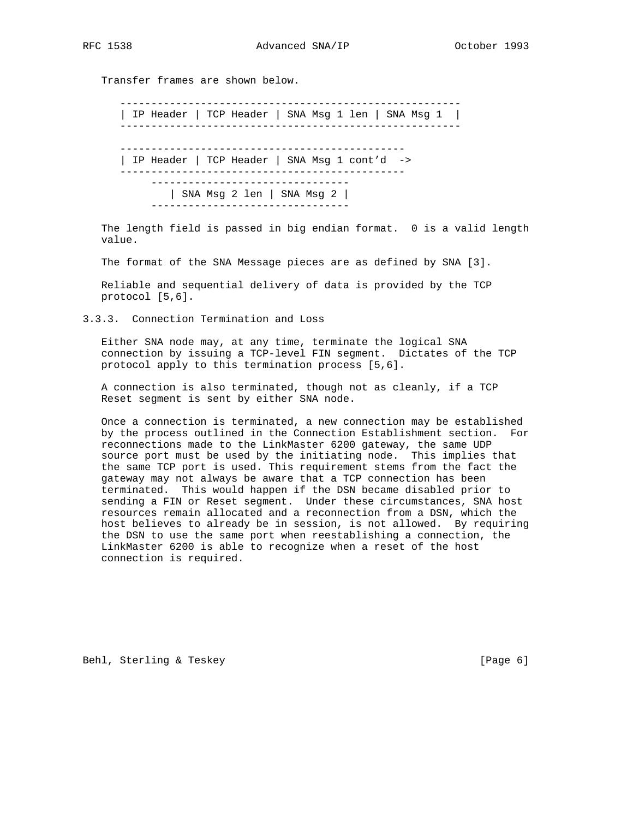Transfer frames are shown below.

 ------------------------------------------------------- | IP Header | TCP Header | SNA Msg 1 len | SNA Msg 1 | ------------------------------------------------------- ---------------------------------------------- | IP Header | TCP Header | SNA Msg 1 cont'd -> ---------------------------------------------- -------------------------------- | SNA Msg 2 len | SNA Msg 2 | --------------------------------

 The length field is passed in big endian format. 0 is a valid length value.

The format of the SNA Message pieces are as defined by SNA [3].

 Reliable and sequential delivery of data is provided by the TCP protocol [5,6].

3.3.3. Connection Termination and Loss

 Either SNA node may, at any time, terminate the logical SNA connection by issuing a TCP-level FIN segment. Dictates of the TCP protocol apply to this termination process [5,6].

 A connection is also terminated, though not as cleanly, if a TCP Reset segment is sent by either SNA node.

 Once a connection is terminated, a new connection may be established by the process outlined in the Connection Establishment section. For reconnections made to the LinkMaster 6200 gateway, the same UDP source port must be used by the initiating node. This implies that the same TCP port is used. This requirement stems from the fact the gateway may not always be aware that a TCP connection has been terminated. This would happen if the DSN became disabled prior to sending a FIN or Reset segment. Under these circumstances, SNA host resources remain allocated and a reconnection from a DSN, which the host believes to already be in session, is not allowed. By requiring the DSN to use the same port when reestablishing a connection, the LinkMaster 6200 is able to recognize when a reset of the host connection is required.

Behl, Sterling & Teskey [Page 6]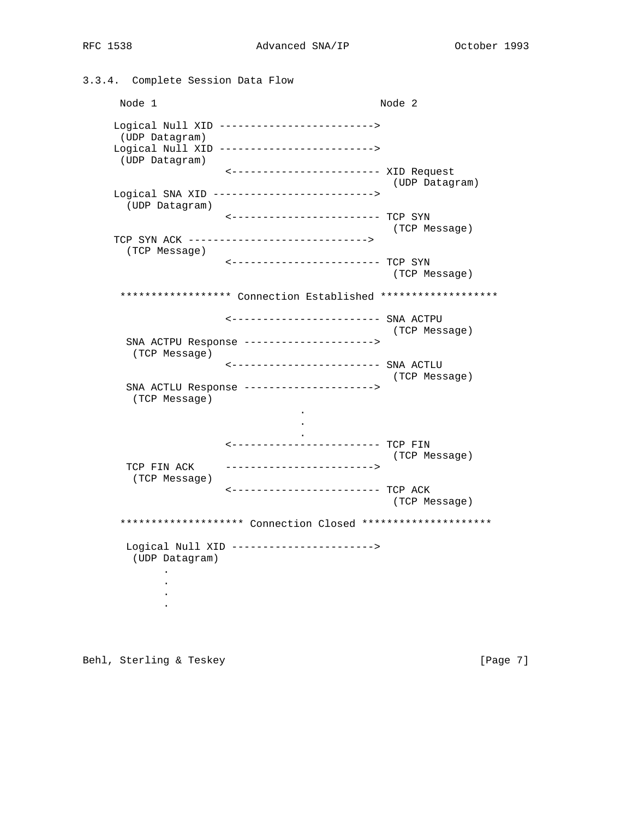3.3.4. Complete Session Data Flow Node 1 Node 2 Logical Null XID -------------------------> (UDP Datagram) Logical Null XID -------------------------> (UDP Datagram) <------------------------ XID Request (UDP Datagram) Logical SNA XID --------------------------> (UDP Datagram) <------------------------ TCP SYN (TCP Message) TCP SYN ACK -----------------------------> (TCP Message) <------------------------ TCP SYN (TCP Message) \*\*\*\*\*\*\*\*\*\*\*\*\*\*\*\*\*\*\* Connection Established \*\*\*\*\*\*\*\*\*\*\*\*\*\*\*\*\*\*\* <------------------------ SNA ACTPU (TCP Message) SNA ACTPU Response ---------------------> (TCP Message) <------------------------ SNA ACTLU (TCP Message) SNA ACTLU Response ---------------------> (TCP Message) . . . <------------------------ TCP FIN (TCP Message) TCP FIN ACK ------------------------> (TCP Message) <------------------------ TCP ACK (TCP Message) \*\*\*\*\*\*\*\*\*\*\*\*\*\*\*\*\*\*\*\* Connection Closed \*\*\*\*\*\*\*\*\*\*\*\*\*\*\*\*\*\*\*\*\* Logical Null XID -----------------------> (UDP Datagram) . . . .

Behl, Sterling & Teskey [Page 7]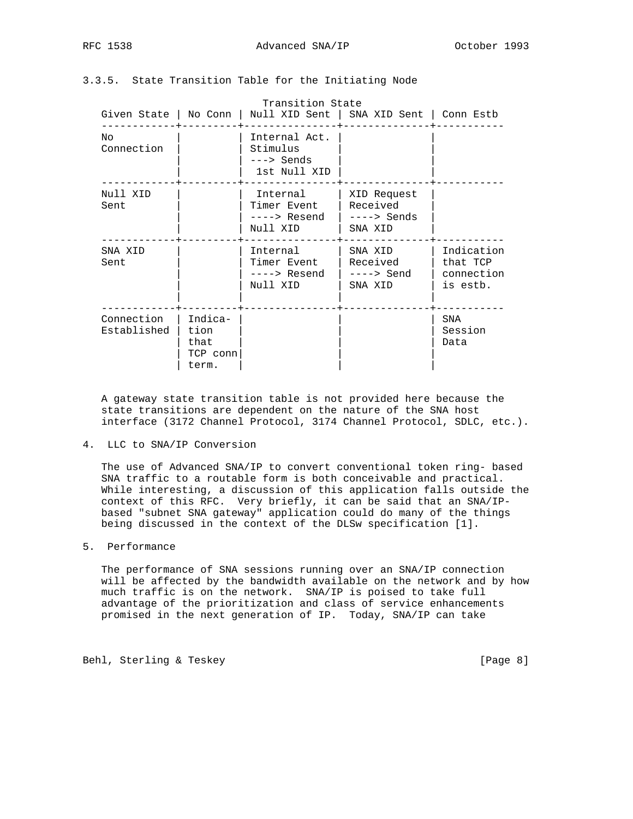| RFC. | 8 |
|------|---|
|------|---|

# 3.3.5. State Transition Table for the Initiating Node

|                           |                                              | Transition State<br>Given State   No Conn   Null XID Sent   SNA XID Sent   Conn Estb |                                                    |                                                  |
|---------------------------|----------------------------------------------|--------------------------------------------------------------------------------------|----------------------------------------------------|--------------------------------------------------|
| NΟ<br>Connection          |                                              | Internal Act.<br>Stimulus<br>---> Sends<br>1st Null XID                              |                                                    |                                                  |
| Null XID<br>Sent          |                                              | Internal<br>Timer Event<br>----> Resend<br>Null XID                                  | XID Request<br>Received<br>$--->$ Sends<br>SNA XID |                                                  |
| SNA XID<br>Sent           |                                              | Internal<br>Timer Event<br>----> Resend<br>Null XID                                  | SNA XID<br>Received<br>$--->$ Send<br>SNA XID      | Indication<br>that TCP<br>connection<br>is estb. |
| Connection<br>Established | Indica-<br>tion<br>that<br>TCP conn<br>term. |                                                                                      |                                                    | SNA<br>Session<br>Data                           |

 A gateway state transition table is not provided here because the state transitions are dependent on the nature of the SNA host interface (3172 Channel Protocol, 3174 Channel Protocol, SDLC, etc.).

4. LLC to SNA/IP Conversion

 The use of Advanced SNA/IP to convert conventional token ring- based SNA traffic to a routable form is both conceivable and practical. While interesting, a discussion of this application falls outside the context of this RFC. Very briefly, it can be said that an SNA/IP based "subnet SNA gateway" application could do many of the things being discussed in the context of the DLSw specification [1].

#### 5. Performance

 The performance of SNA sessions running over an SNA/IP connection will be affected by the bandwidth available on the network and by how much traffic is on the network. SNA/IP is poised to take full advantage of the prioritization and class of service enhancements promised in the next generation of IP. Today, SNA/IP can take

Behl, Sterling & Teskey [Page 8]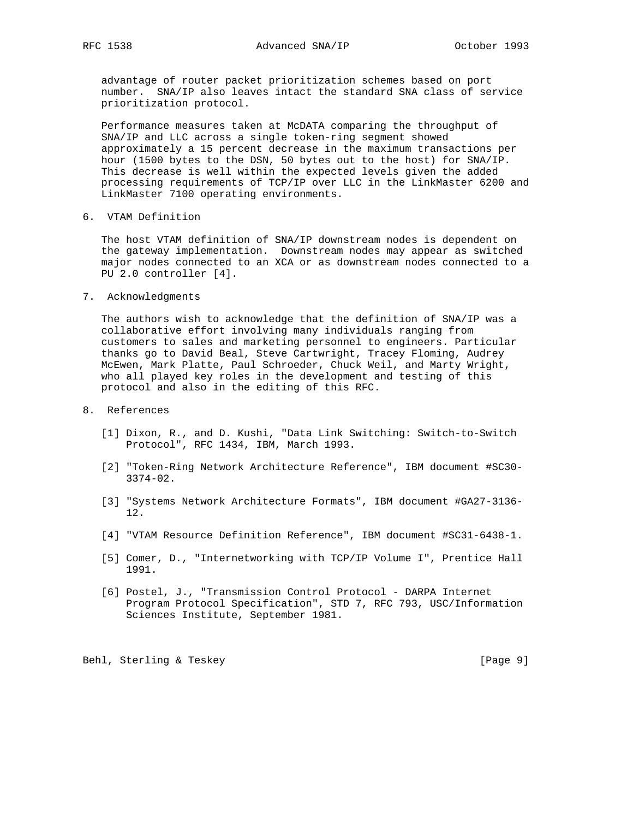advantage of router packet prioritization schemes based on port number. SNA/IP also leaves intact the standard SNA class of service prioritization protocol.

 Performance measures taken at McDATA comparing the throughput of SNA/IP and LLC across a single token-ring segment showed approximately a 15 percent decrease in the maximum transactions per hour (1500 bytes to the DSN, 50 bytes out to the host) for SNA/IP. This decrease is well within the expected levels given the added processing requirements of TCP/IP over LLC in the LinkMaster 6200 and LinkMaster 7100 operating environments.

6. VTAM Definition

 The host VTAM definition of SNA/IP downstream nodes is dependent on the gateway implementation. Downstream nodes may appear as switched major nodes connected to an XCA or as downstream nodes connected to a PU 2.0 controller [4].

7. Acknowledgments

 The authors wish to acknowledge that the definition of SNA/IP was a collaborative effort involving many individuals ranging from customers to sales and marketing personnel to engineers. Particular thanks go to David Beal, Steve Cartwright, Tracey Floming, Audrey McEwen, Mark Platte, Paul Schroeder, Chuck Weil, and Marty Wright, who all played key roles in the development and testing of this protocol and also in the editing of this RFC.

- 8. References
	- [1] Dixon, R., and D. Kushi, "Data Link Switching: Switch-to-Switch Protocol", RFC 1434, IBM, March 1993.
	- [2] "Token-Ring Network Architecture Reference", IBM document #SC30- 3374-02.
	- [3] "Systems Network Architecture Formats", IBM document #GA27-3136- 12.
	- [4] "VTAM Resource Definition Reference", IBM document #SC31-6438-1.
	- [5] Comer, D., "Internetworking with TCP/IP Volume I", Prentice Hall 1991.
	- [6] Postel, J., "Transmission Control Protocol DARPA Internet Program Protocol Specification", STD 7, RFC 793, USC/Information Sciences Institute, September 1981.

Behl, Sterling & Teskey [Page 9]